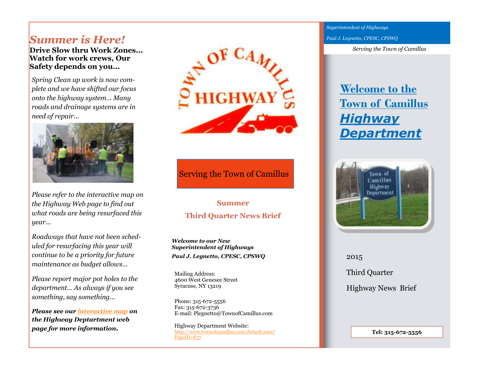# *Summer is Here!*

 **Drive Slow thru Work Zones... Watch for work crews, Our Safety depends on you...** 

*Spring Clean up work is now complete and we have shifted our focus onto the highway system… Many roads and drainage systems are in need of repair...* 



*Please refer to the interactive map on the Highway Web page to find out what roads are being resurfaced this year...* 

*Roadways that have not been scheduled for resurfacing this year will continue to be a priority for future maintenance as budget allows…* 

*Please report major pot holes to the department… As always if you see something, say something...* 

*Please see our interactive map on the Highway Deptartment web page for more information.* 



Serving the Town of Camillus

# **Summer Third Quarter News Brief**

*Welcome to our New Superintendent of Highways Paul J. Legnetto, CPESC, CPSWQ* 

Mailing Address: 4600 West Genesee Street Syracuse, NY 13219

Phone: 315-672-5556 Fax: 315-672-3736 E-mail: Plegnetto@TownofCamillus.com

Highway Department Website: http://www.townofcamillus.com/default.aspx?PageID=837

*Superintendent of Highways Paul J. Legnetto, CPESC, CPSWQ* 

*Serving the Town of Camillus* 

# **Welcome to the Town of Camillus***Highway Department*



2015 Third Quarter Highway News Brief

**Tel: 315-672-5556**